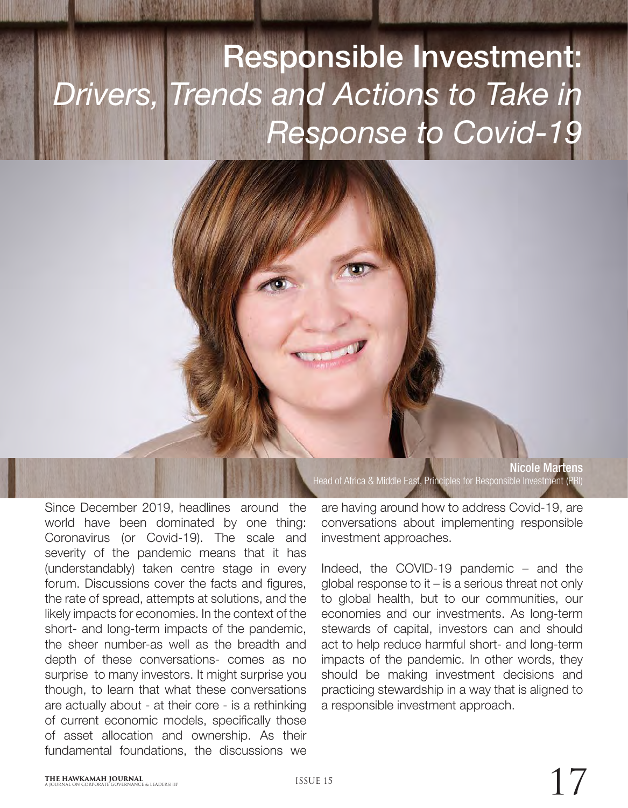## Responsible Investment: *Drivers, Trends and Actions to Take in Response to Covid-19*

Since December 2019, headlines around the world have been dominated by one thing: Coronavirus (or Covid-19). The scale and severity of the pandemic means that it has (understandably) taken centre stage in every forum. Discussions cover the facts and figures, the rate of spread, attempts at solutions, and the likely impacts for economies. In the context of the short- and long-term impacts of the pandemic, the sheer number-as well as the breadth and depth of these conversations- comes as no surprise to many investors. It might surprise you though, to learn that what these conversations are actually about - at their core - is a rethinking of current economic models, specifically those of asset allocation and ownership. As their fundamental foundations, the discussions we

Nicole Martens Head of Africa & Middle East, Principles for Responsible Investment (PRI)

are having around how to address Covid-19, are conversations about implementing responsible investment approaches.

Indeed, the COVID-19 pandemic – and the global response to it – is a serious threat not only to global health, but to our communities, our economies and our investments. As long-term stewards of capital, investors can and should act to help reduce harmful short- and long-term impacts of the pandemic. In other words, they should be making investment decisions and practicing stewardship in a way that is aligned to a responsible investment approach.

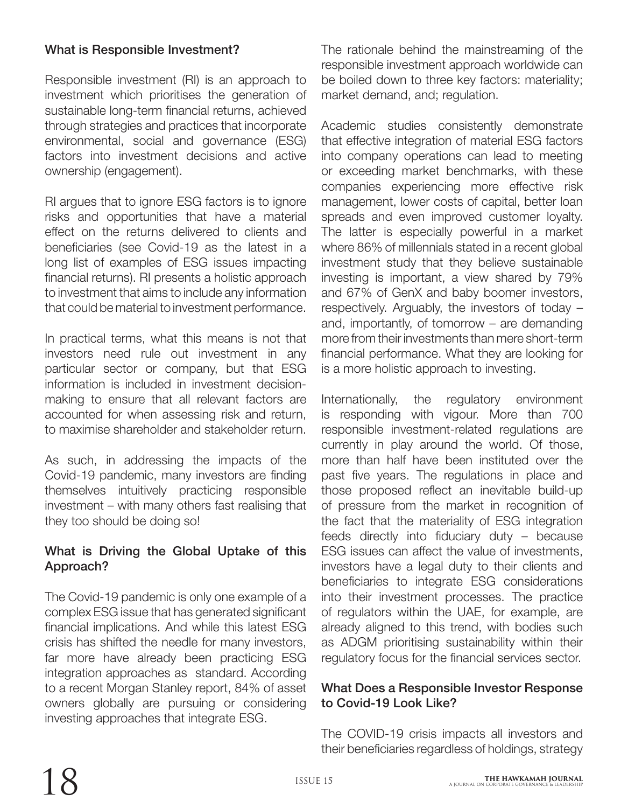## What is Responsible Investment?

Responsible investment (RI) is an approach to investment which prioritises the generation of sustainable long-term financial returns, achieved through strategies and practices that incorporate environmental, social and governance (ESG) factors into investment decisions and active ownership (engagement).

RI argues that to ignore ESG factors is to ignore risks and opportunities that have a material effect on the returns delivered to clients and beneficiaries (see Covid-19 as the latest in a long list of examples of ESG issues impacting financial returns). RI presents a holistic approach to investment that aims to include any information that could be material to investment performance.

In practical terms, what this means is not that investors need rule out investment in any particular sector or company, but that ESG information is included in investment decisionmaking to ensure that all relevant factors are accounted for when assessing risk and return, to maximise shareholder and stakeholder return.

As such, in addressing the impacts of the Covid-19 pandemic, many investors are finding themselves intuitively practicing responsible investment – with many others fast realising that they too should be doing so!

## What is Driving the Global Uptake of this Approach?

The Covid-19 pandemic is only one example of a complex ESG issue that has generated significant financial implications. And while this latest ESG crisis has shifted the needle for many investors, far more have already been practicing ESG integration approaches as standard. According to a recent Morgan Stanley report, 84% of asset owners globally are pursuing or considering investing approaches that integrate ESG.

The rationale behind the mainstreaming of the responsible investment approach worldwide can be boiled down to three key factors: materiality; market demand, and; regulation.

Academic studies consistently demonstrate that effective integration of material ESG factors into company operations can lead to meeting or exceeding market benchmarks, with these companies experiencing more effective risk management, lower costs of capital, better loan spreads and even improved customer loyalty. The latter is especially powerful in a market where 86% of millennials stated in a recent global investment study that they believe sustainable investing is important, a view shared by 79% and 67% of GenX and baby boomer investors, respectively. Arguably, the investors of today – and, importantly, of tomorrow – are demanding more from their investments than mere short-term financial performance. What they are looking for is a more holistic approach to investing.

Internationally, the regulatory environment is responding with vigour. More than 700 responsible investment-related regulations are currently in play around the world. Of those, more than half have been instituted over the past five years. The regulations in place and those proposed reflect an inevitable build-up of pressure from the market in recognition of the fact that the materiality of ESG integration feeds directly into fiduciary duty – because ESG issues can affect the value of investments, investors have a legal duty to their clients and beneficiaries to integrate ESG considerations into their investment processes. The practice of regulators within the UAE, for example, are already aligned to this trend, with bodies such as ADGM prioritising sustainability within their regulatory focus for the financial services sector.

## What Does a Responsible Investor Response to Covid-19 Look Like?

The COVID-19 crisis impacts all investors and their beneficiaries regardless of holdings, strategy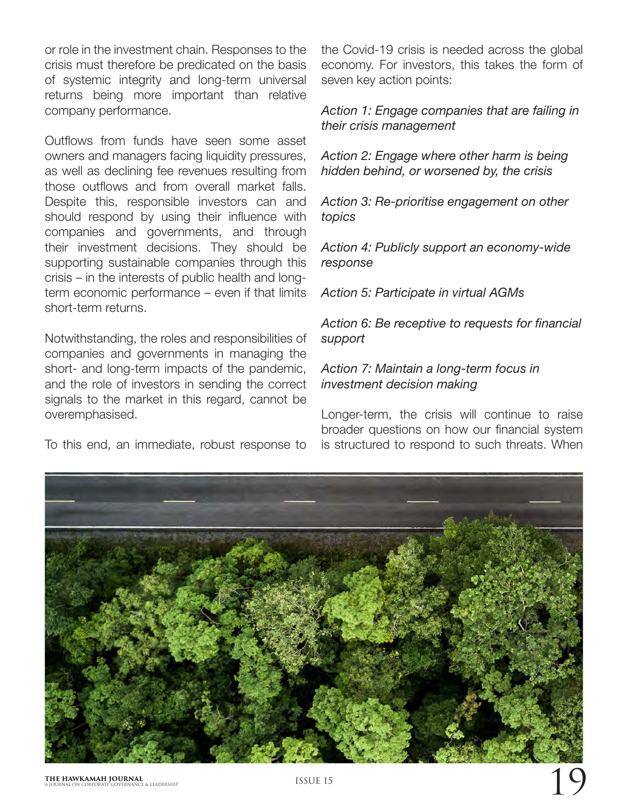or role in the investment chain. Responses to the crisis must therefore be predicated on the basis of systemic integrity and long-term universal returns being more important than relative company performance.

Outflows from funds have seen some asset owners and managers facing liquidity pressures, as well as declining fee revenues resulting from those outflows and from overall market falls. Despite this, responsible investors can and should respond by using their influence with companies and governments, and through their investment decisions. They should be supporting sustainable companies through this crisis – in the interests of public health and longterm economic performance – even if that limits short-term returns.

Notwithstanding, the roles and responsibilities of companies and governments in managing the short- and long-term impacts of the pandemic, and the role of investors in sending the correct signals to the market in this regard, cannot be overemphasised.

To this end, an immediate, robust response to

the Covid-19 crisis is needed across the global economy. For investors, this takes the form of seven key action points:

*Action 1: Engage companies that are failing in their crisis management*

*Action 2: Engage where other harm is being hidden behind, or worsened by, the crisis*

*Action 3: Re-prioritise engagement on other topics*

*Action 4: Publicly support an economy-wide response*

*Action 5: Participate in virtual AGMs*

*Action 6: Be receptive to requests for financial support*

*Action 7: Maintain a long-term focus in investment decision making*

Longer-term, the crisis will continue to raise broader questions on how our financial system is structured to respond to such threats. When